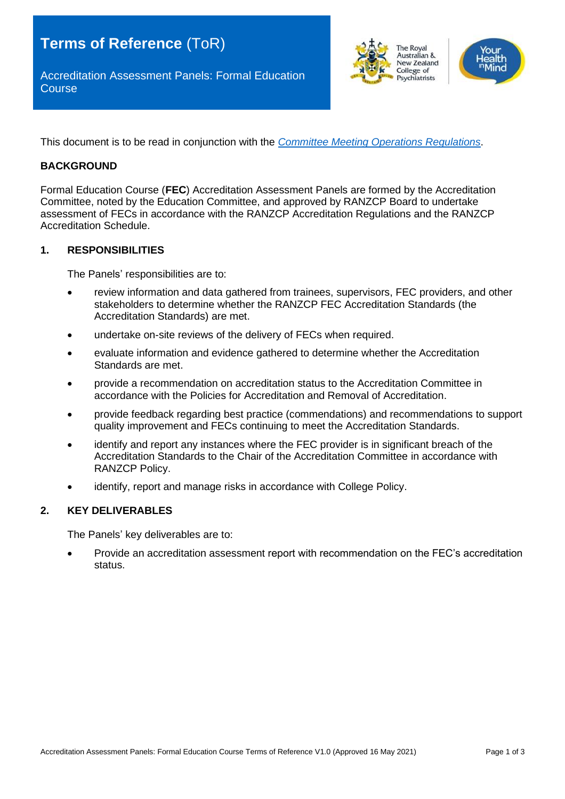Accreditation Assessment Panels: Formal Education **Course** 



This document is to be read in conjunction with the *[Committee Meeting Operations Regulations](https://www.ranzcp.org/files/about_us/governance/regulations-policies-and-procedures/regulations/regulations-for-committee-meeting-operations-v1-0.aspx)*.

### **BACKGROUND**

Formal Education Course (**FEC**) Accreditation Assessment Panels are formed by the Accreditation Committee, noted by the Education Committee, and approved by RANZCP Board to undertake assessment of FECs in accordance with the RANZCP Accreditation Regulations and the RANZCP Accreditation Schedule.

#### **1. RESPONSIBILITIES**

The Panels' responsibilities are to:

- review information and data gathered from trainees, supervisors, FEC providers, and other stakeholders to determine whether the RANZCP FEC Accreditation Standards (the Accreditation Standards) are met.
- undertake on-site reviews of the delivery of FECs when required.
- evaluate information and evidence gathered to determine whether the Accreditation Standards are met.
- provide a recommendation on accreditation status to the Accreditation Committee in accordance with the Policies for Accreditation and Removal of Accreditation.
- provide feedback regarding best practice (commendations) and recommendations to support quality improvement and FECs continuing to meet the Accreditation Standards.
- identify and report any instances where the FEC provider is in significant breach of the Accreditation Standards to the Chair of the Accreditation Committee in accordance with RANZCP Policy.
- identify, report and manage risks in accordance with College Policy.

### **2. KEY DELIVERABLES**

The Panels' key deliverables are to:

• Provide an accreditation assessment report with recommendation on the FEC's accreditation status.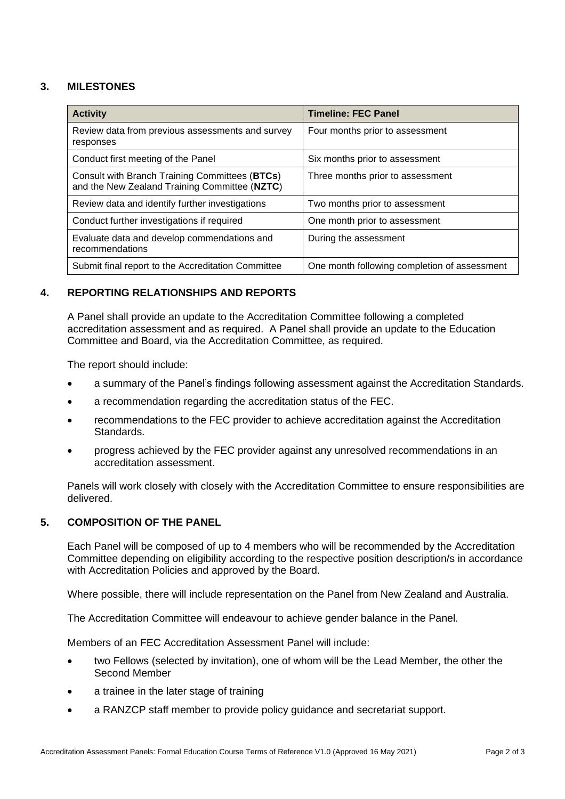# **3. MILESTONES**

| <b>Activity</b>                                                                                 | <b>Timeline: FEC Panel</b>                   |
|-------------------------------------------------------------------------------------------------|----------------------------------------------|
| Review data from previous assessments and survey<br>responses                                   | Four months prior to assessment              |
| Conduct first meeting of the Panel                                                              | Six months prior to assessment               |
| Consult with Branch Training Committees (BTCs)<br>and the New Zealand Training Committee (NZTC) | Three months prior to assessment             |
| Review data and identify further investigations                                                 | Two months prior to assessment               |
| Conduct further investigations if required                                                      | One month prior to assessment                |
| Evaluate data and develop commendations and<br>recommendations                                  | During the assessment                        |
| Submit final report to the Accreditation Committee                                              | One month following completion of assessment |

## **4. REPORTING RELATIONSHIPS AND REPORTS**

A Panel shall provide an update to the Accreditation Committee following a completed accreditation assessment and as required. A Panel shall provide an update to the Education Committee and Board, via the Accreditation Committee, as required.

The report should include:

- a summary of the Panel's findings following assessment against the Accreditation Standards.
- a recommendation regarding the accreditation status of the FEC.
- recommendations to the FEC provider to achieve accreditation against the Accreditation Standards.
- progress achieved by the FEC provider against any unresolved recommendations in an accreditation assessment.

Panels will work closely with closely with the Accreditation Committee to ensure responsibilities are delivered.

### **5. COMPOSITION OF THE PANEL**

Each Panel will be composed of up to 4 members who will be recommended by the Accreditation Committee depending on eligibility according to the respective position description/s in accordance with Accreditation Policies and approved by the Board.

Where possible, there will include representation on the Panel from New Zealand and Australia.

The Accreditation Committee will endeavour to achieve gender balance in the Panel.

Members of an FEC Accreditation Assessment Panel will include:

- two Fellows (selected by invitation), one of whom will be the Lead Member, the other the Second Member
- a trainee in the later stage of training
- a RANZCP staff member to provide policy guidance and secretariat support.